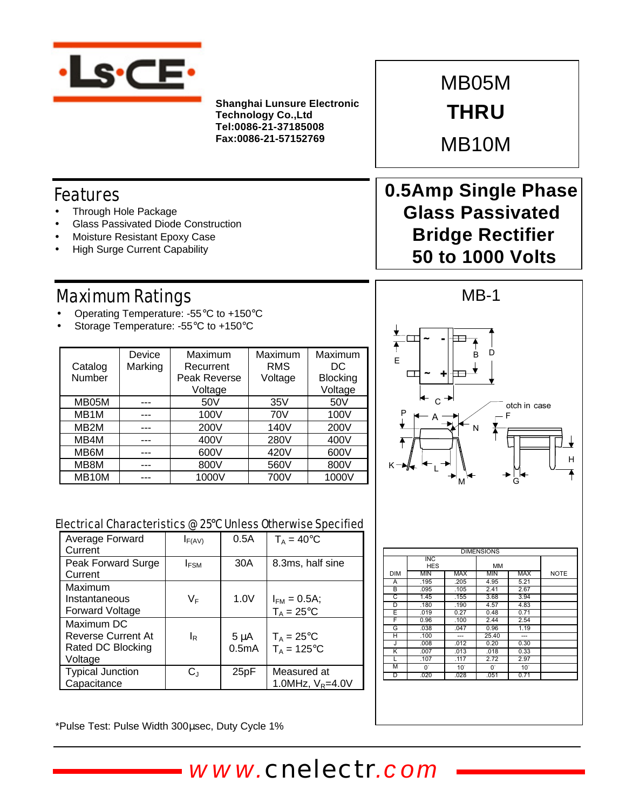

**Shanghai Lunsure Electronic Technology Co.,Ltd Tel:0086-21-37185008 Fax:0086-21-57152769**

MB05M **THRU**

MB10M

## Features

- Through Hole Package
- Glass Passivated Diode Construction
- Moisture Resistant Epoxy Case
- **High Surge Current Capability**

## Maximum Ratings

- Operating Temperature: -55°C to +150°C
- Storage Temperature: -55°C to +150°C

|                   | Device  | Maximum      | Maximum    | Maximum<br>DC |
|-------------------|---------|--------------|------------|---------------|
| Catalog           | Marking | Recurrent    | <b>RMS</b> |               |
| Number            |         | Peak Reverse | Voltage    |               |
|                   |         | Voltage      |            | Voltage       |
| MB05M             |         | 50V          | 35V        | 50V           |
| MB <sub>1</sub> M |         | 100V         | 70V        | 100V          |
| MB <sub>2</sub> M |         | 200V         | 140V       | 200V          |
| MB4M              |         | 400V         | 280V       | 400V          |
| MB6M              |         | 600V         | 420V       | 600V          |
| MB8M              |         | 800V         | 560V       | 800V          |
| MB10M             |         | 1000V        | 700V       | 1000V         |

## **0.5Amp Single Phase Glass Passivated Bridge Rectifier 50 to 1000 Volts**



#### Electrical Characteristics @ 25°C Unless Otherwise Specified

| Average Forward<br>Current | $I_{F(AV)}$ | 0.5A      | $T_A = 40^{\circ}$ C |
|----------------------------|-------------|-----------|----------------------|
| Peak Forward Surge         | $I_{FSM}$   | 30A       | 8.3ms, half sine     |
| Current                    |             |           |                      |
| Maximum                    |             |           |                      |
| Instantaneous              | VF          | 1.0V      | $I_{FM} = 0.5A$ ;    |
| Forward Voltage            |             |           | $T_A = 25$ °C        |
| Maximum DC                 |             |           |                      |
| <b>Reverse Current At</b>  | ΙR          | $5 \mu A$ | $T_A = 25$ °C        |
| Rated DC Blocking          |             | 0.5mA     | $T_A = 125$ °C       |
| Voltage                    |             |           |                      |
| <b>Typical Junction</b>    | $C_J$       | 25pF      | Measured at          |
| Capacitance                |             |           | 1.0MHz, $V_R = 4.0V$ |

| <b>DIMENSIONS</b> |                                         |              |             |              |             |  |  |
|-------------------|-----------------------------------------|--------------|-------------|--------------|-------------|--|--|
|                   | $\overline{\mathsf{INC}}$<br><b>HES</b> |              | <b>MM</b>   |              |             |  |  |
| <b>DIM</b>        | MIN                                     | <b>MAX</b>   | <b>MIN</b>  | <b>MAX</b>   | <b>NOTE</b> |  |  |
| A                 | .195                                    | .205         | 4.95        | 5.21         |             |  |  |
| B                 | .095                                    | .105         | 2.41        | 2.67         |             |  |  |
| C                 | 1.45                                    | .155         | 3.68        | 3.94         |             |  |  |
| D                 | .180                                    | .190         | 4.57        | 4.83         |             |  |  |
| E                 | .019                                    | 0.27         | 0.48        | 0.71         |             |  |  |
| F                 | 0.96                                    | .100         | 2.44        | 2.54         |             |  |  |
| G                 | .038                                    | .047         | 0.96        | 1.19         |             |  |  |
| н                 | .100                                    | ---          | 25.40       | ---          |             |  |  |
| J                 | .008                                    | .012         | 0.20        | 0.30         |             |  |  |
| K                 | .007                                    | .013         | .018        | 0.33         |             |  |  |
| L                 | .107                                    | .117         | 2.72        | 2.97         |             |  |  |
| М                 | $0^{\circ}$                             | $10^{\circ}$ | $0^{\circ}$ | $10^{\circ}$ |             |  |  |
| D                 | .020                                    | .028         | .051        | 0.71         |             |  |  |

\*Pulse Test: Pulse Width 300μsec, Duty Cycle 1%

*www.cnelectr.com*